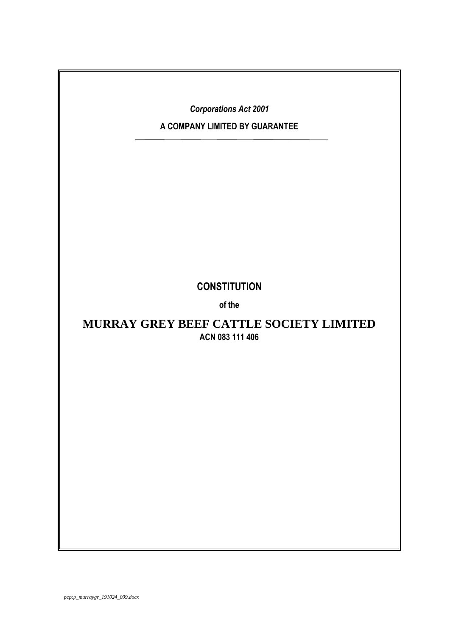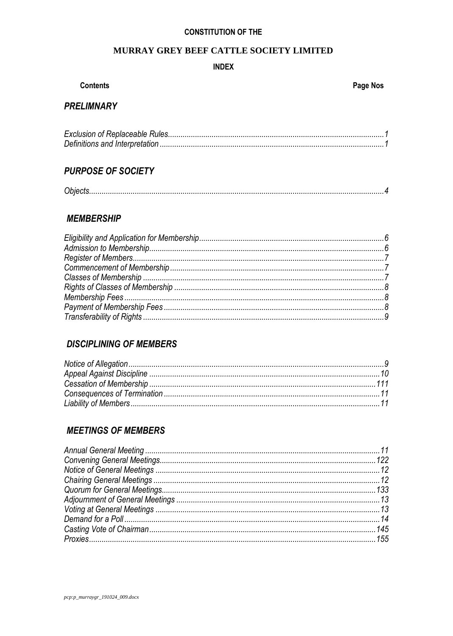### **CONSTITUTION OF THE**

### MURRAY GREY BEEF CATTLE SOCIETY LIMITED

### **INDEX**

### **Contents**

## **PRELIMNARY**

### **PURPOSE OF SOCIETY**

## **MEMBERSHIP**

# **DISCIPLINING OF MEMBERS**

# **MEETINGS OF MEMBERS**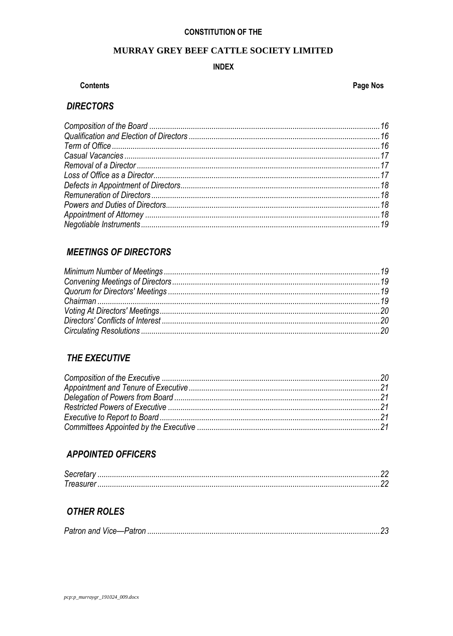# **CONSTITUTION OF THE**

## MURRAY GREY BEEF CATTLE SOCIETY LIMITED

### **INDEX**

### **Contents**

### Page Nos

# **DIRECTORS**

# **MEETINGS OF DIRECTORS**

# THE EXECUTIVE

# **APPOINTED OFFICERS**

# **OTHER ROLES**

| Patron and |  |  |  |
|------------|--|--|--|
|------------|--|--|--|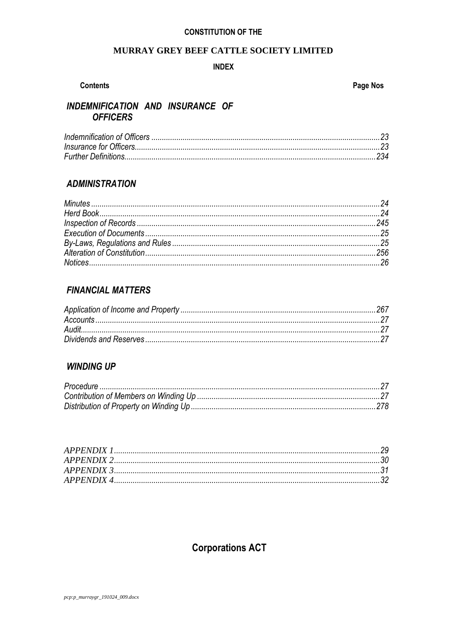### **CONSTITUTION OF THE**

### MURRAY GREY BEEF CATTLE SOCIETY LIMITED

### **INDEX**

### **Contents**

### Page Nos

# INDEMNIFICATION AND INSURANCE OF **OFFICERS**

## **ADMINISTRATION**

# **FINANCIAL MATTERS**

### **WINDING UP**

# **Corporations ACT**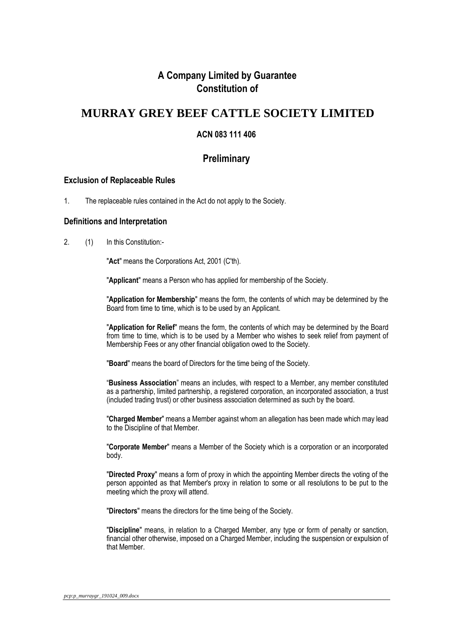# **A Company Limited by Guarantee Constitution of**

# **MURRAY GREY BEEF CATTLE SOCIETY LIMITED**

### **ACN 083 111 406**

## **Preliminary**

### <span id="page-4-0"></span>**Exclusion of Replaceable Rules**

1. The replaceable rules contained in the Act do not apply to the Society.

### <span id="page-4-1"></span>**Definitions and Interpretation**

2. (1) In this Constitution:-

"**Act**" means the Corporations Act, 2001 (C'th).

"**Applicant**" means a Person who has applied for membership of the Society.

"**Application for Membership**" means the form, the contents of which may be determined by the Board from time to time, which is to be used by an Applicant.

"**Application for Relief**" means the form, the contents of which may be determined by the Board from time to time, which is to be used by a Member who wishes to seek relief from payment of Membership Fees or any other financial obligation owed to the Society.

"**Board**" means the board of Directors for the time being of the Society.

"**Business Association**" means an includes, with respect to a Member, any member constituted as a partnership, limited partnership, a registered corporation, an incorporated association, a trust (included trading trust) or other business association determined as such by the board.

"**Charged Member**" means a Member against whom an allegation has been made which may lead to the Discipline of that Member.

"**Corporate Member**" means a Member of the Society which is a corporation or an incorporated body.

"**Directed Proxy**" means a form of proxy in which the appointing Member directs the voting of the person appointed as that Member's proxy in relation to some or all resolutions to be put to the meeting which the proxy will attend.

"**Directors**" means the directors for the time being of the Society.

"**Discipline**" means, in relation to a Charged Member, any type or form of penalty or sanction, financial other otherwise, imposed on a Charged Member, including the suspension or expulsion of that Member.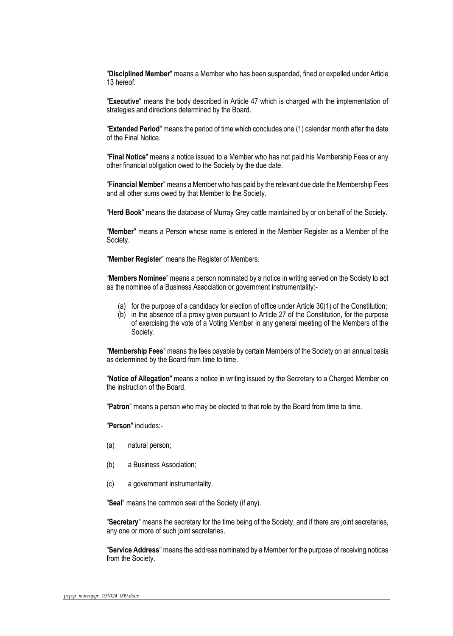"**Disciplined Member**" means a Member who has been suspended, fined or expelled under Article 13 hereof.

"**Executive**" means the body described in Article 47 which is charged with the implementation of strategies and directions determined by the Board.

"**Extended Period**" means the period of time which concludes one (1) calendar month after the date of the Final Notice.

"**Final Notice**" means a notice issued to a Member who has not paid his Membership Fees or any other financial obligation owed to the Society by the due date.

"**Financial Member**" means a Member who has paid by the relevant due date the Membership Fees and all other sums owed by that Member to the Society.

"**Herd Book**" means the database of Murray Grey cattle maintained by or on behalf of the Society.

"**Member**" means a Person whose name is entered in the Member Register as a Member of the Society.

"**Member Register**" means the Register of Members.

"**Members Nominee**" means a person nominated by a notice in writing served on the Society to act as the nominee of a Business Association or government instrumentality:-

- (a) for the purpose of a candidacy for election of office under Article 30(1) of the Constitution;
- (b) in the absence of a proxy given pursuant to Article 27 of the Constitution, for the purpose of exercising the vote of a Voting Member in any general meeting of the Members of the Society.

"**Membership Fees**" means the fees payable by certain Members of the Society on an annual basis as determined by the Board from time to time.

"**Notice of Allegation**" means a notice in writing issued by the Secretary to a Charged Member on the instruction of the Board.

"**Patron**" means a person who may be elected to that role by the Board from time to time.

"**Person**" includes:-

- (a) natural person;
- (b) a Business Association;
- (c) a government instrumentality.

"**Seal**" means the common seal of the Society (if any).

"**Secretary**" means the secretary for the time being of the Society, and if there are joint secretaries, any one or more of such joint secretaries.

"**Service Address**" means the address nominated by a Member for the purpose of receiving notices from the Society.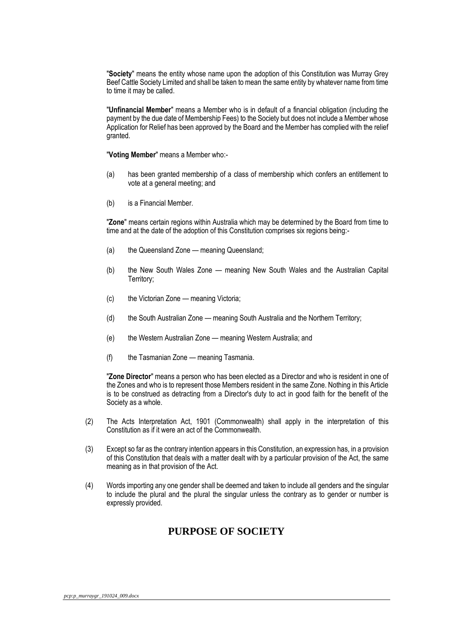"**Society**" means the entity whose name upon the adoption of this Constitution was Murray Grey Beef Cattle Society Limited and shall be taken to mean the same entity by whatever name from time to time it may be called.

"**Unfinancial Member**" means a Member who is in default of a financial obligation (including the payment by the due date of Membership Fees) to the Society but does not include a Member whose Application for Relief has been approved by the Board and the Member has complied with the relief granted.

"**Voting Member**" means a Member who:-

- (a) has been granted membership of a class of membership which confers an entitlement to vote at a general meeting; and
- (b) is a Financial Member.

"**Zone**" means certain regions within Australia which may be determined by the Board from time to time and at the date of the adoption of this Constitution comprises six regions being:-

- (a) the Queensland Zone meaning Queensland;
- (b) the New South Wales Zone meaning New South Wales and the Australian Capital Territory;
- (c) the Victorian Zone meaning Victoria;
- (d) the South Australian Zone meaning South Australia and the Northern Territory;
- (e) the Western Australian Zone meaning Western Australia; and
- (f) the Tasmanian Zone meaning Tasmania.

"**Zone Director**" means a person who has been elected as a Director and who is resident in one of the Zones and who is to represent those Members resident in the same Zone. Nothing in this Article is to be construed as detracting from a Director's duty to act in good faith for the benefit of the Society as a whole.

- (2) The Acts Interpretation Act, 1901 (Commonwealth) shall apply in the interpretation of this Constitution as if it were an act of the Commonwealth.
- (3) Except so far as the contrary intention appears in this Constitution, an expression has, in a provision of this Constitution that deals with a matter dealt with by a particular provision of the Act, the same meaning as in that provision of the Act.
- (4) Words importing any one gender shall be deemed and taken to include all genders and the singular to include the plural and the plural the singular unless the contrary as to gender or number is expressly provided.

# **PURPOSE OF SOCIETY**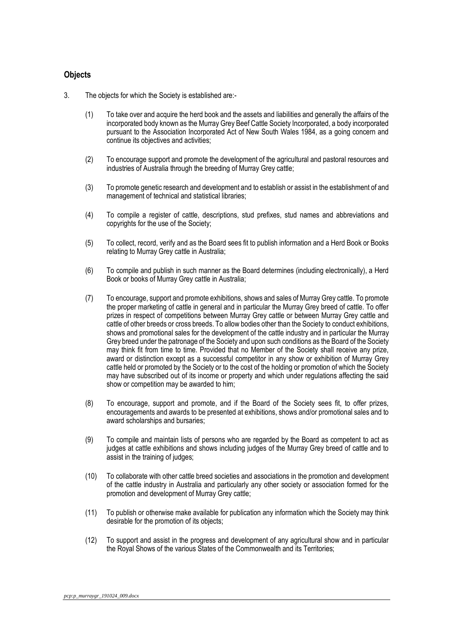### <span id="page-7-0"></span>**Objects**

- 3. The objects for which the Society is established are:-
	- (1) To take over and acquire the herd book and the assets and liabilities and generally the affairs of the incorporated body known as the Murray Grey Beef Cattle Society Incorporated, a body incorporated pursuant to the Association Incorporated Act of New South Wales 1984, as a going concern and continue its objectives and activities;
	- (2) To encourage support and promote the development of the agricultural and pastoral resources and industries of Australia through the breeding of Murray Grey cattle;
	- (3) To promote genetic research and development and to establish or assist in the establishment of and management of technical and statistical libraries;
	- (4) To compile a register of cattle, descriptions, stud prefixes, stud names and abbreviations and copyrights for the use of the Society;
	- (5) To collect, record, verify and as the Board sees fit to publish information and a Herd Book or Books relating to Murray Grey cattle in Australia;
	- (6) To compile and publish in such manner as the Board determines (including electronically), a Herd Book or books of Murray Grey cattle in Australia;
	- (7) To encourage, support and promote exhibitions, shows and sales of Murray Grey cattle. To promote the proper marketing of cattle in general and in particular the Murray Grey breed of cattle. To offer prizes in respect of competitions between Murray Grey cattle or between Murray Grey cattle and cattle of other breeds or cross breeds. To allow bodies other than the Society to conduct exhibitions, shows and promotional sales for the development of the cattle industry and in particular the Murray Grey breed under the patronage of the Society and upon such conditions as the Board of the Society may think fit from time to time. Provided that no Member of the Society shall receive any prize, award or distinction except as a successful competitor in any show or exhibition of Murray Grey cattle held or promoted by the Society or to the cost of the holding or promotion of which the Society may have subscribed out of its income or property and which under regulations affecting the said show or competition may be awarded to him;
	- (8) To encourage, support and promote, and if the Board of the Society sees fit, to offer prizes, encouragements and awards to be presented at exhibitions, shows and/or promotional sales and to award scholarships and bursaries;
	- (9) To compile and maintain lists of persons who are regarded by the Board as competent to act as judges at cattle exhibitions and shows including judges of the Murray Grey breed of cattle and to assist in the training of judges;
	- (10) To collaborate with other cattle breed societies and associations in the promotion and development of the cattle industry in Australia and particularly any other society or association formed for the promotion and development of Murray Grey cattle;
	- (11) To publish or otherwise make available for publication any information which the Society may think desirable for the promotion of its objects;
	- (12) To support and assist in the progress and development of any agricultural show and in particular the Royal Shows of the various States of the Commonwealth and its Territories;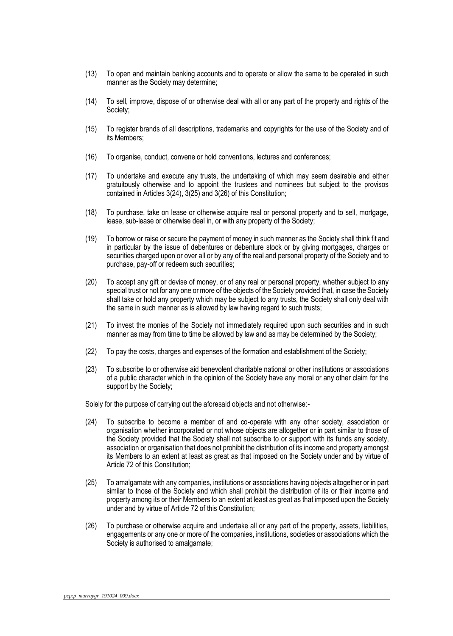- (13) To open and maintain banking accounts and to operate or allow the same to be operated in such manner as the Society may determine;
- (14) To sell, improve, dispose of or otherwise deal with all or any part of the property and rights of the Society;
- (15) To register brands of all descriptions, trademarks and copyrights for the use of the Society and of its Members;
- (16) To organise, conduct, convene or hold conventions, lectures and conferences;
- (17) To undertake and execute any trusts, the undertaking of which may seem desirable and either gratuitously otherwise and to appoint the trustees and nominees but subject to the provisos contained in Articles 3(24), 3(25) and 3(26) of this Constitution;
- (18) To purchase, take on lease or otherwise acquire real or personal property and to sell, mortgage, lease, sub-lease or otherwise deal in, or with any property of the Society;
- (19) To borrow or raise or secure the payment of money in such manner as the Society shall think fit and in particular by the issue of debentures or debenture stock or by giving mortgages, charges or securities charged upon or over all or by any of the real and personal property of the Society and to purchase, pay-off or redeem such securities;
- (20) To accept any gift or devise of money, or of any real or personal property, whether subject to any special trust or not for any one or more of the objects of the Society provided that, in case the Society shall take or hold any property which may be subject to any trusts, the Society shall only deal with the same in such manner as is allowed by law having regard to such trusts;
- (21) To invest the monies of the Society not immediately required upon such securities and in such manner as may from time to time be allowed by law and as may be determined by the Society;
- (22) To pay the costs, charges and expenses of the formation and establishment of the Society;
- (23) To subscribe to or otherwise aid benevolent charitable national or other institutions or associations of a public character which in the opinion of the Society have any moral or any other claim for the support by the Society;

Solely for the purpose of carrying out the aforesaid objects and not otherwise:-

- (24) To subscribe to become a member of and co-operate with any other society, association or organisation whether incorporated or not whose objects are altogether or in part similar to those of the Society provided that the Society shall not subscribe to or support with its funds any society, association or organisation that does not prohibit the distribution of its income and property amongst its Members to an extent at least as great as that imposed on the Society under and by virtue of Article 72 of this Constitution;
- (25) To amalgamate with any companies, institutions or associations having objects altogether or in part similar to those of the Society and which shall prohibit the distribution of its or their income and property among its or their Members to an extent at least as great as that imposed upon the Society under and by virtue of Article 72 of this Constitution;
- (26) To purchase or otherwise acquire and undertake all or any part of the property, assets, liabilities, engagements or any one or more of the companies, institutions, societies or associations which the Society is authorised to amalgamate;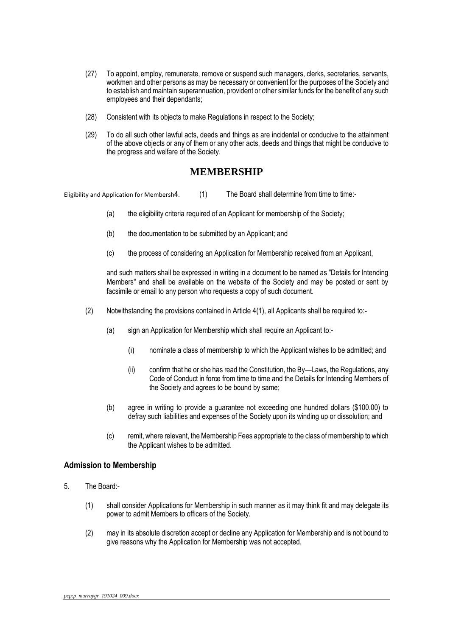- (27) To appoint, employ, remunerate, remove or suspend such managers, clerks, secretaries, servants, workmen and other persons as may be necessary or convenient for the purposes of the Society and to establish and maintain superannuation, provident or other similar funds for the benefit of any such employees and their dependants;
- (28) Consistent with its objects to make Regulations in respect to the Society;
- (29) To do all such other lawful acts, deeds and things as are incidental or conducive to the attainment of the above objects or any of them or any other acts, deeds and things that might be conducive to the progress and welfare of the Society.

### **MEMBERSHIP**

<span id="page-9-0"></span>Eligibility and Application for Membersh4. (1) The Board shall determine from time to time:-

- (a) the eligibility criteria required of an Applicant for membership of the Society;
- (b) the documentation to be submitted by an Applicant; and
- (c) the process of considering an Application for Membership received from an Applicant,

and such matters shall be expressed in writing in a document to be named as "Details for Intending Members" and shall be available on the website of the Society and may be posted or sent by facsimile or email to any person who requests a copy of such document.

- (2) Notwithstanding the provisions contained in Article 4(1), all Applicants shall be required to:-
	- (a) sign an Application for Membership which shall require an Applicant to:-
		- (i) nominate a class of membership to which the Applicant wishes to be admitted; and
		- (ii) confirm that he or she has read the Constitution, the By—Laws, the Regulations, any Code of Conduct in force from time to time and the Details for Intending Members of the Society and agrees to be bound by same;
	- (b) agree in writing to provide a guarantee not exceeding one hundred dollars (\$100.00) to defray such liabilities and expenses of the Society upon its winding up or dissolution; and
	- (c) remit, where relevant, the Membership Fees appropriate to the class of membership to which the Applicant wishes to be admitted.

### <span id="page-9-1"></span>**Admission to Membership**

- 5. The Board:-
	- (1) shall consider Applications for Membership in such manner as it may think fit and may delegate its power to admit Members to officers of the Society.
	- (2) may in its absolute discretion accept or decline any Application for Membership and is not bound to give reasons why the Application for Membership was not accepted.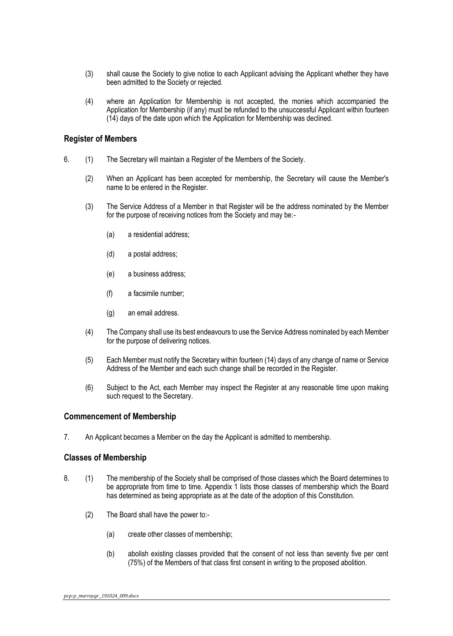- (3) shall cause the Society to give notice to each Applicant advising the Applicant whether they have been admitted to the Society or rejected.
- (4) where an Application for Membership is not accepted, the monies which accompanied the Application for Membership (if any) must be refunded to the unsuccessful Applicant within fourteen (14) days of the date upon which the Application for Membership was declined.

### <span id="page-10-0"></span>**Register of Members**

- 6. (1) The Secretary will maintain a Register of the Members of the Society.
	- (2) When an Applicant has been accepted for membership, the Secretary will cause the Member's name to be entered in the Register.
	- (3) The Service Address of a Member in that Register will be the address nominated by the Member for the purpose of receiving notices from the Society and may be:-
		- (a) a residential address;
		- (d) a postal address;
		- (e) a business address;
		- (f) a facsimile number;
		- (g) an email address.
	- (4) The Company shall use its best endeavours to use the Service Address nominated by each Member for the purpose of delivering notices.
	- (5) Each Member must notify the Secretary within fourteen (14) days of any change of name or Service Address of the Member and each such change shall be recorded in the Register.
	- (6) Subject to the Act, each Member may inspect the Register at any reasonable time upon making such request to the Secretary.

### <span id="page-10-1"></span>**Commencement of Membership**

7. An Applicant becomes a Member on the day the Applicant is admitted to membership.

### <span id="page-10-2"></span>**Classes of Membership**

- 8. (1) The membership of the Society shall be comprised of those classes which the Board determines to be appropriate from time to time. Appendix 1 lists those classes of membership which the Board has determined as being appropriate as at the date of the adoption of this Constitution.
	- (2) The Board shall have the power to:-
		- (a) create other classes of membership;
		- (b) abolish existing classes provided that the consent of not less than seventy five per cent (75%) of the Members of that class first consent in writing to the proposed abolition.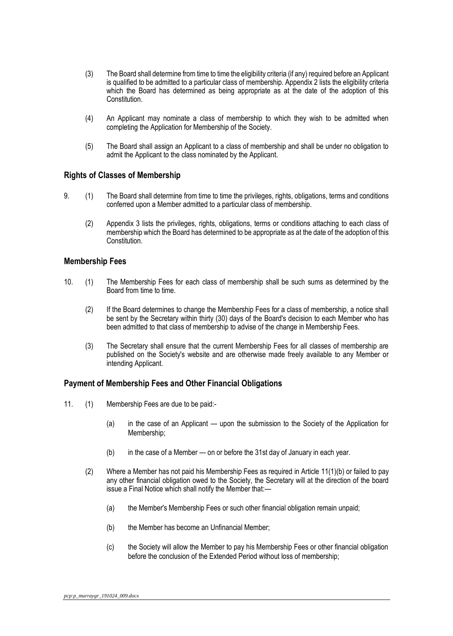- (3) The Board shall determine from time to time the eligibility criteria (if any) required before an Applicant is qualified to be admitted to a particular class of membership. Appendix 2 lists the eligibility criteria which the Board has determined as being appropriate as at the date of the adoption of this Constitution.
- (4) An Applicant may nominate a class of membership to which they wish to be admitted when completing the Application for Membership of the Society.
- (5) The Board shall assign an Applicant to a class of membership and shall be under no obligation to admit the Applicant to the class nominated by the Applicant.

### <span id="page-11-0"></span>**Rights of Classes of Membership**

- 9. (1) The Board shall determine from time to time the privileges, rights, obligations, terms and conditions conferred upon a Member admitted to a particular class of membership.
	- (2) Appendix 3 lists the privileges, rights, obligations, terms or conditions attaching to each class of membership which the Board has determined to be appropriate as at the date of the adoption of this Constitution.

### <span id="page-11-1"></span>**Membership Fees**

- 10. (1) The Membership Fees for each class of membership shall be such sums as determined by the Board from time to time.
	- (2) If the Board determines to change the Membership Fees for a class of membership, a notice shall be sent by the Secretary within thirty (30) days of the Board's decision to each Member who has been admitted to that class of membership to advise of the change in Membership Fees.
	- (3) The Secretary shall ensure that the current Membership Fees for all classes of membership are published on the Society's website and are otherwise made freely available to any Member or intending Applicant.

### <span id="page-11-2"></span>**Payment of Membership Fees and Other Financial Obligations**

- 11. (1) Membership Fees are due to be paid:-
	- (a) in the case of an Applicant upon the submission to the Society of the Application for Membership;
	- (b) in the case of a Member on or before the 31st day of January in each year.
	- (2) Where a Member has not paid his Membership Fees as required in Article 11(1)(b) or failed to pay any other financial obligation owed to the Society, the Secretary will at the direction of the board issue a Final Notice which shall notify the Member that:—
		- (a) the Member's Membership Fees or such other financial obligation remain unpaid;
		- (b) the Member has become an Unfinancial Member;
		- (c) the Society will allow the Member to pay his Membership Fees or other financial obligation before the conclusion of the Extended Period without loss of membership;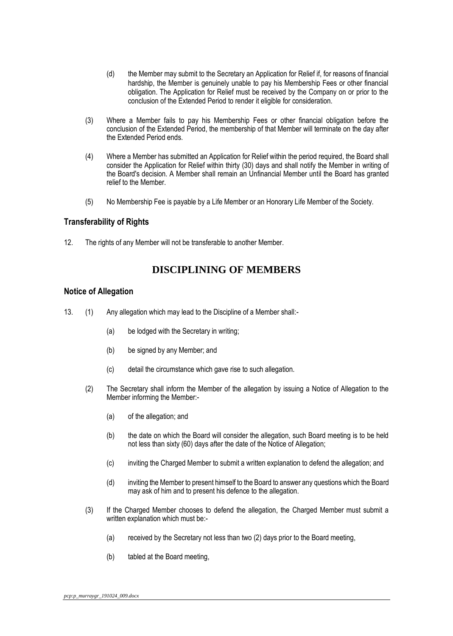- (d) the Member may submit to the Secretary an Application for Relief if, for reasons of financial hardship, the Member is genuinely unable to pay his Membership Fees or other financial obligation. The Application for Relief must be received by the Company on or prior to the conclusion of the Extended Period to render it eligible for consideration.
- (3) Where a Member fails to pay his Membership Fees or other financial obligation before the conclusion of the Extended Period, the membership of that Member will terminate on the day after the Extended Period ends.
- (4) Where a Member has submitted an Application for Relief within the period required, the Board shall consider the Application for Relief within thirty (30) days and shall notify the Member in writing of the Board's decision. A Member shall remain an Unfinancial Member until the Board has granted relief to the Member.
- (5) No Membership Fee is payable by a Life Member or an Honorary Life Member of the Society.

### <span id="page-12-0"></span>**Transferability of Rights**

12. The rights of any Member will not be transferable to another Member.

## **DISCIPLINING OF MEMBERS**

#### <span id="page-12-1"></span>**Notice of Allegation**

- 13. (1) Any allegation which may lead to the Discipline of a Member shall:-
	- (a) be lodged with the Secretary in writing;
	- (b) be signed by any Member; and
	- (c) detail the circumstance which gave rise to such allegation.
	- (2) The Secretary shall inform the Member of the allegation by issuing a Notice of Allegation to the Member informing the Member:-
		- (a) of the allegation; and
		- (b) the date on which the Board will consider the allegation, such Board meeting is to be held not less than sixty (60) days after the date of the Notice of Allegation;
		- (c) inviting the Charged Member to submit a written explanation to defend the allegation; and
		- (d) inviting the Member to present himself to the Board to answer any questions which the Board may ask of him and to present his defence to the allegation.
	- (3) If the Charged Member chooses to defend the allegation, the Charged Member must submit a written explanation which must be:-
		- (a) received by the Secretary not less than two (2) days prior to the Board meeting,
		- (b) tabled at the Board meeting,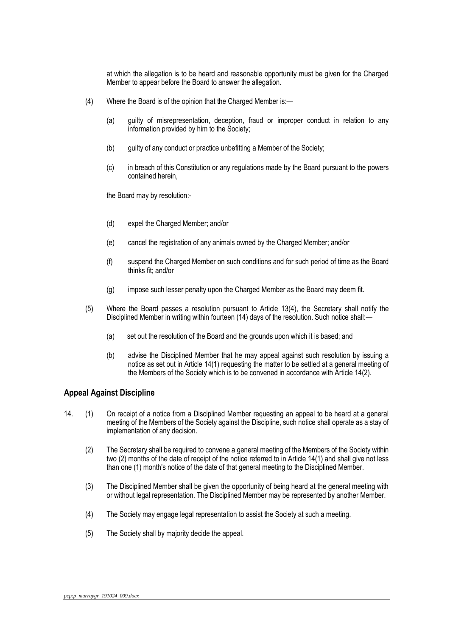at which the allegation is to be heard and reasonable opportunity must be given for the Charged Member to appear before the Board to answer the allegation.

- (4) Where the Board is of the opinion that the Charged Member is:—
	- (a) guilty of misrepresentation, deception, fraud or improper conduct in relation to any information provided by him to the Society;
	- (b) guilty of any conduct or practice unbefitting a Member of the Society;
	- (c) in breach of this Constitution or any regulations made by the Board pursuant to the powers contained herein,

the Board may by resolution:-

- (d) expel the Charged Member; and/or
- (e) cancel the registration of any animals owned by the Charged Member; and/or
- (f) suspend the Charged Member on such conditions and for such period of time as the Board thinks fit; and/or
- (g) impose such lesser penalty upon the Charged Member as the Board may deem fit.
- (5) Where the Board passes a resolution pursuant to Article 13(4), the Secretary shall notify the Disciplined Member in writing within fourteen (14) days of the resolution. Such notice shall:—
	- (a) set out the resolution of the Board and the grounds upon which it is based; and
	- (b) advise the Disciplined Member that he may appeal against such resolution by issuing a notice as set out in Article 14(1) requesting the matter to be settled at a general meeting of the Members of the Society which is to be convened in accordance with Article 14(2).

### <span id="page-13-0"></span>**Appeal Against Discipline**

- 14. (1) On receipt of a notice from a Disciplined Member requesting an appeal to be heard at a general meeting of the Members of the Society against the Discipline, such notice shall operate as a stay of implementation of any decision.
	- (2) The Secretary shall be required to convene a general meeting of the Members of the Society within two (2) months of the date of receipt of the notice referred to in Article 14(1) and shall give not less than one (1) month's notice of the date of that general meeting to the Disciplined Member.
	- (3) The Disciplined Member shall be given the opportunity of being heard at the general meeting with or without legal representation. The Disciplined Member may be represented by another Member.
	- (4) The Society may engage legal representation to assist the Society at such a meeting.
	- (5) The Society shall by majority decide the appeal.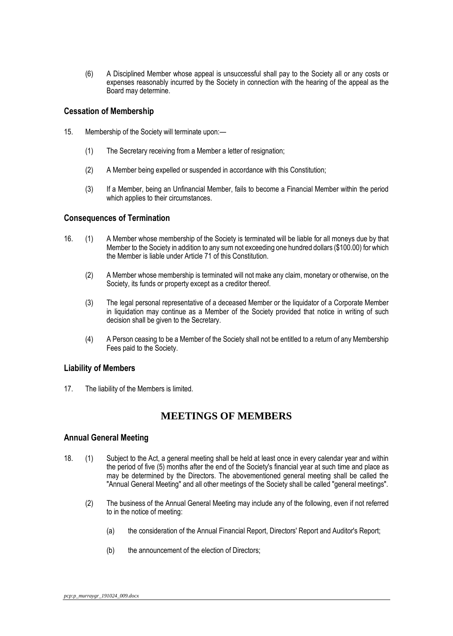(6) A Disciplined Member whose appeal is unsuccessful shall pay to the Society all or any costs or expenses reasonably incurred by the Society in connection with the hearing of the appeal as the Board may determine.

### <span id="page-14-0"></span>**Cessation of Membership**

- 15. Membership of the Society will terminate upon:—
	- (1) The Secretary receiving from a Member a letter of resignation;
	- (2) A Member being expelled or suspended in accordance with this Constitution;
	- (3) If a Member, being an Unfinancial Member, fails to become a Financial Member within the period which applies to their circumstances.

### <span id="page-14-1"></span>**Consequences of Termination**

- 16. (1) A Member whose membership of the Society is terminated will be liable for all moneys due by that Member to the Society in addition to any sum not exceeding one hundred dollars (\$100.00) for which the Member is liable under Article 71 of this Constitution.
	- (2) A Member whose membership is terminated will not make any claim, monetary or otherwise, on the Society, its funds or property except as a creditor thereof.
	- (3) The legal personal representative of a deceased Member or the liquidator of a Corporate Member in liquidation may continue as a Member of the Society provided that notice in writing of such decision shall be given to the Secretary.
	- (4) A Person ceasing to be a Member of the Society shall not be entitled to a return of any Membership Fees paid to the Society.

### <span id="page-14-2"></span>**Liability of Members**

17. The liability of the Members is limited.

# **MEETINGS OF MEMBERS**

### <span id="page-14-3"></span>**Annual General Meeting**

- 18. (1) Subject to the Act, a general meeting shall be held at least once in every calendar year and within the period of five (5) months after the end of the Society's financial year at such time and place as may be determined by the Directors. The abovementioned general meeting shall be called the "Annual General Meeting" and all other meetings of the Society shall be called "general meetings".
	- (2) The business of the Annual General Meeting may include any of the following, even if not referred to in the notice of meeting:
		- (a) the consideration of the Annual Financial Report, Directors' Report and Auditor's Report;
		- (b) the announcement of the election of Directors;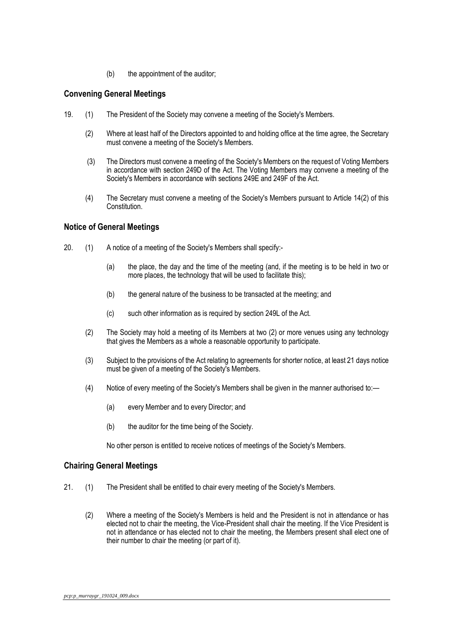(b) the appointment of the auditor;

### <span id="page-15-0"></span>**Convening General Meetings**

- 19. (1) The President of the Society may convene a meeting of the Society's Members.
	- (2) Where at least half of the Directors appointed to and holding office at the time agree, the Secretary must convene a meeting of the Society's Members.
	- (3) The Directors must convene a meeting of the Society's Members on the request of Voting Members in accordance with section 249D of the Act. The Voting Members may convene a meeting of the Society's Members in accordance with sections 249E and 249F of the Act.
	- (4) The Secretary must convene a meeting of the Society's Members pursuant to Article 14(2) of this Constitution.

### <span id="page-15-1"></span>**Notice of General Meetings**

- 20. (1) A notice of a meeting of the Society's Members shall specify:-
	- (a) the place, the day and the time of the meeting (and, if the meeting is to be held in two or more places, the technology that will be used to facilitate this);
	- (b) the general nature of the business to be transacted at the meeting; and
	- (c) such other information as is required by section 249L of the Act.
	- (2) The Society may hold a meeting of its Members at two (2) or more venues using any technology that gives the Members as a whole a reasonable opportunity to participate.
	- (3) Subject to the provisions of the Act relating to agreements for shorter notice, at least 21 days notice must be given of a meeting of the Society's Members.
	- (4) Notice of every meeting of the Society's Members shall be given in the manner authorised to:—
		- (a) every Member and to every Director; and
		- (b) the auditor for the time being of the Society.

No other person is entitled to receive notices of meetings of the Society's Members.

### <span id="page-15-2"></span>**Chairing General Meetings**

- 21. (1) The President shall be entitled to chair every meeting of the Society's Members.
	- (2) Where a meeting of the Society's Members is held and the President is not in attendance or has elected not to chair the meeting, the Vice-President shall chair the meeting. If the Vice President is not in attendance or has elected not to chair the meeting, the Members present shall elect one of their number to chair the meeting (or part of it).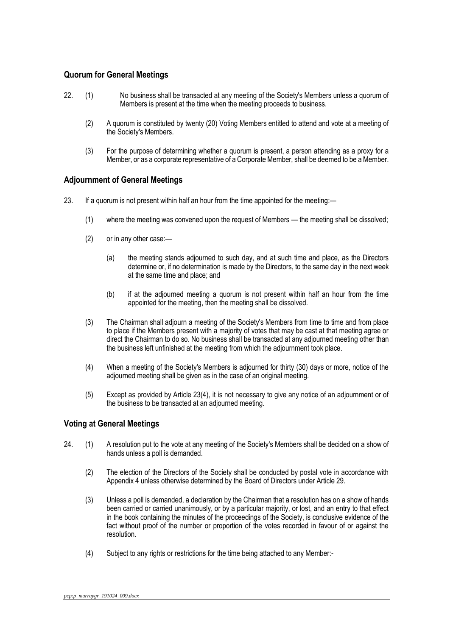### <span id="page-16-0"></span>**Quorum for General Meetings**

- 22. (1) No business shall be transacted at any meeting of the Society's Members unless a quorum of Members is present at the time when the meeting proceeds to business.
	- (2) A quorum is constituted by twenty (20) Voting Members entitled to attend and vote at a meeting of the Society's Members.
	- (3) For the purpose of determining whether a quorum is present, a person attending as a proxy for a Member, or as a corporate representative of a Corporate Member, shall be deemed to be a Member.

### <span id="page-16-1"></span>**Adjournment of General Meetings**

- 23. If a quorum is not present within half an hour from the time appointed for the meeting:—
	- (1) where the meeting was convened upon the request of Members the meeting shall be dissolved;
	- (2) or in any other case:—
		- (a) the meeting stands adjourned to such day, and at such time and place, as the Directors determine or, if no determination is made by the Directors, to the same day in the next week at the same time and place; and
		- (b) if at the adjourned meeting a quorum is not present within half an hour from the time appointed for the meeting, then the meeting shall be dissolved.
	- (3) The Chairman shall adjourn a meeting of the Society's Members from time to time and from place to place if the Members present with a majority of votes that may be cast at that meeting agree or direct the Chairman to do so. No business shall be transacted at any adjourned meeting other than the business left unfinished at the meeting from which the adjournment took place.
	- (4) When a meeting of the Society's Members is adjourned for thirty (30) days or more, notice of the adjourned meeting shall be given as in the case of an original meeting.
	- (5) Except as provided by Article 23(4), it is not necessary to give any notice of an adjournment or of the business to be transacted at an adjourned meeting.

### <span id="page-16-2"></span>**Voting at General Meetings**

- 24. (1) A resolution put to the vote at any meeting of the Society's Members shall be decided on a show of hands unless a poll is demanded.
	- (2) The election of the Directors of the Society shall be conducted by postal vote in accordance with Appendix 4 unless otherwise determined by the Board of Directors under Article 29.
	- (3) Unless a poll is demanded, a declaration by the Chairman that a resolution has on a show of hands been carried or carried unanimously, or by a particular majority, or lost, and an entry to that effect in the book containing the minutes of the proceedings of the Society, is conclusive evidence of the fact without proof of the number or proportion of the votes recorded in favour of or against the resolution.
	- (4) Subject to any rights or restrictions for the time being attached to any Member:-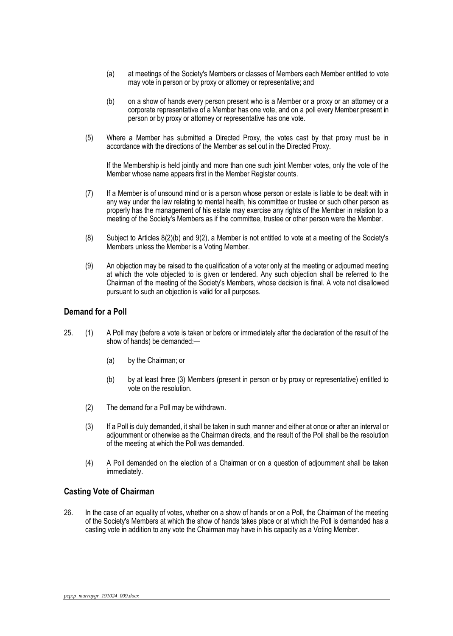- (a) at meetings of the Society's Members or classes of Members each Member entitled to vote may vote in person or by proxy or attorney or representative; and
- (b) on a show of hands every person present who is a Member or a proxy or an attorney or a corporate representative of a Member has one vote, and on a poll every Member present in person or by proxy or attorney or representative has one vote.
- (5) Where a Member has submitted a Directed Proxy, the votes cast by that proxy must be in accordance with the directions of the Member as set out in the Directed Proxy.

If the Membership is held jointly and more than one such joint Member votes, only the vote of the Member whose name appears first in the Member Register counts.

- (7) If a Member is of unsound mind or is a person whose person or estate is liable to be dealt with in any way under the law relating to mental health, his committee or trustee or such other person as properly has the management of his estate may exercise any rights of the Member in relation to a meeting of the Society's Members as if the committee, trustee or other person were the Member.
- (8) Subject to Articles 8(2)(b) and 9(2), a Member is not entitled to vote at a meeting of the Society's Members unless the Member is a Voting Member.
- (9) An objection may be raised to the qualification of a voter only at the meeting or adjourned meeting at which the vote objected to is given or tendered. Any such objection shall be referred to the Chairman of the meeting of the Society's Members, whose decision is final. A vote not disallowed pursuant to such an objection is valid for all purposes.

### <span id="page-17-0"></span>**Demand for a Poll**

- 25. (1) A Poll may (before a vote is taken or before or immediately after the declaration of the result of the show of hands) be demanded:—
	- (a) by the Chairman; or
	- (b) by at least three (3) Members (present in person or by proxy or representative) entitled to vote on the resolution.
	- (2) The demand for a Poll may be withdrawn.
	- (3) If a Poll is duly demanded, it shall be taken in such manner and either at once or after an interval or adjournment or otherwise as the Chairman directs, and the result of the Poll shall be the resolution of the meeting at which the Poll was demanded.
	- (4) A Poll demanded on the election of a Chairman or on a question of adjournment shall be taken immediately.

### <span id="page-17-1"></span>**Casting Vote of Chairman**

26. In the case of an equality of votes, whether on a show of hands or on a Poll, the Chairman of the meeting of the Society's Members at which the show of hands takes place or at which the Poll is demanded has a casting vote in addition to any vote the Chairman may have in his capacity as a Voting Member.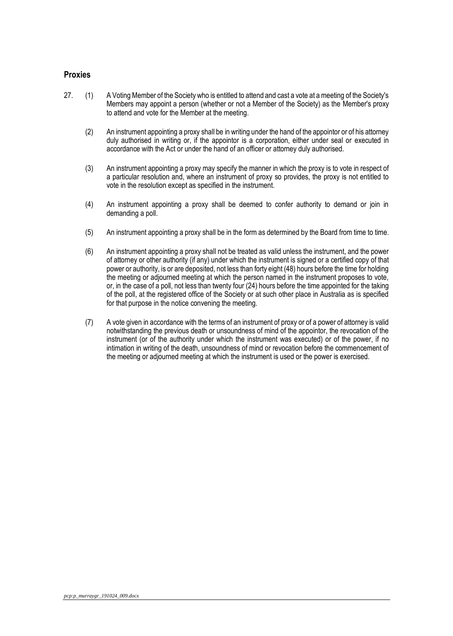### <span id="page-18-0"></span>**Proxies**

- 27. (1) A Voting Member of the Society who is entitled to attend and cast a vote at a meeting of the Society's Members may appoint a person (whether or not a Member of the Society) as the Member's proxy to attend and vote for the Member at the meeting.
	- (2) An instrument appointing a proxy shall be in writing under the hand of the appointor or of his attorney duly authorised in writing or, if the appointor is a corporation, either under seal or executed in accordance with the Act or under the hand of an officer or attorney duly authorised.
	- (3) An instrument appointing a proxy may specify the manner in which the proxy is to vote in respect of a particular resolution and, where an instrument of proxy so provides, the proxy is not entitled to vote in the resolution except as specified in the instrument.
	- (4) An instrument appointing a proxy shall be deemed to confer authority to demand or join in demanding a poll.
	- (5) An instrument appointing a proxy shall be in the form as determined by the Board from time to time.
	- (6) An instrument appointing a proxy shall not be treated as valid unless the instrument, and the power of attorney or other authority (if any) under which the instrument is signed or a certified copy of that power or authority, is or are deposited, not less than forty eight (48) hours before the time for holding the meeting or adjourned meeting at which the person named in the instrument proposes to vote, or, in the case of a poll, not less than twenty four (24) hours before the time appointed for the taking of the poll, at the registered office of the Society or at such other place in Australia as is specified for that purpose in the notice convening the meeting.
	- (7) A vote given in accordance with the terms of an instrument of proxy or of a power of attorney is valid notwithstanding the previous death or unsoundness of mind of the appointor, the revocation of the instrument (or of the authority under which the instrument was executed) or of the power, if no intimation in writing of the death, unsoundness of mind or revocation before the commencement of the meeting or adjourned meeting at which the instrument is used or the power is exercised.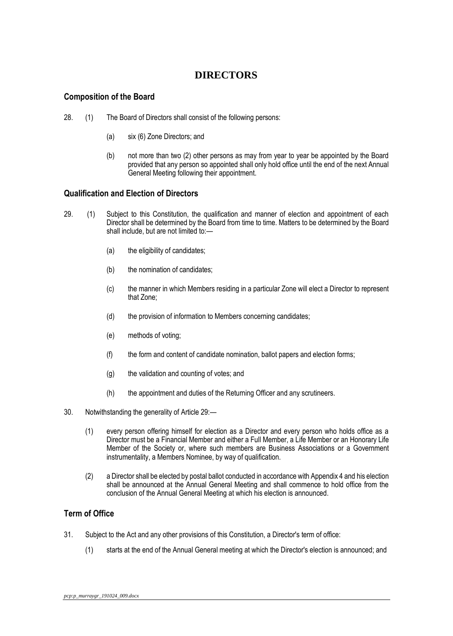# **DIRECTORS**

### <span id="page-19-0"></span>**Composition of the Board**

- 28. (1) The Board of Directors shall consist of the following persons:
	- (a) six (6) Zone Directors; and
	- (b) not more than two (2) other persons as may from year to year be appointed by the Board provided that any person so appointed shall only hold office until the end of the next Annual General Meeting following their appointment.

### <span id="page-19-1"></span>**Qualification and Election of Directors**

- 29. (1) Subject to this Constitution, the qualification and manner of election and appointment of each Director shall be determined by the Board from time to time. Matters to be determined by the Board shall include, but are not limited to:—
	- (a) the eligibility of candidates;
	- (b) the nomination of candidates;
	- (c) the manner in which Members residing in a particular Zone will elect a Director to represent that Zone;
	- (d) the provision of information to Members concerning candidates;
	- (e) methods of voting;
	- (f) the form and content of candidate nomination, ballot papers and election forms;
	- (g) the validation and counting of votes; and
	- (h) the appointment and duties of the Returning Officer and any scrutineers.
- 30. Notwithstanding the generality of Article 29:—
	- (1) every person offering himself for election as a Director and every person who holds office as a Director must be a Financial Member and either a Full Member, a Life Member or an Honorary Life Member of the Society or, where such members are Business Associations or a Government instrumentality, a Members Nominee, by way of qualification.
	- (2) a Director shall be elected by postal ballot conducted in accordance with Appendix 4 and his election shall be announced at the Annual General Meeting and shall commence to hold office from the conclusion of the Annual General Meeting at which his election is announced.

### <span id="page-19-2"></span>**Term of Office**

- 31. Subject to the Act and any other provisions of this Constitution, a Director's term of office:
	- (1) starts at the end of the Annual General meeting at which the Director's election is announced; and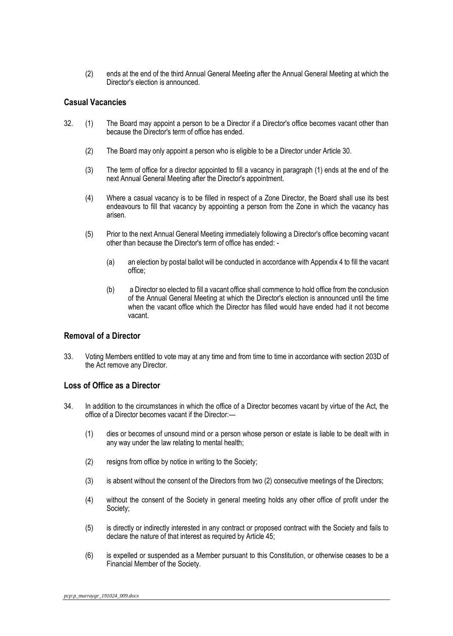(2) ends at the end of the third Annual General Meeting after the Annual General Meeting at which the Director's election is announced.

### <span id="page-20-0"></span>**Casual Vacancies**

- 32. (1) The Board may appoint a person to be a Director if a Director's office becomes vacant other than because the Director's term of office has ended.
	- (2) The Board may only appoint a person who is eligible to be a Director under Article 30.
	- (3) The term of office for a director appointed to fill a vacancy in paragraph (1) ends at the end of the next Annual General Meeting after the Director's appointment.
	- (4) Where a casual vacancy is to be filled in respect of a Zone Director, the Board shall use its best endeavours to fill that vacancy by appointing a person from the Zone in which the vacancy has arisen.
	- (5) Prior to the next Annual General Meeting immediately following a Director's office becoming vacant other than because the Director's term of office has ended: -
		- (a) an election by postal ballot will be conducted in accordance with Appendix 4 to fill the vacant office;
		- (b) a Director so elected to fill a vacant office shall commence to hold office from the conclusion of the Annual General Meeting at which the Director's election is announced until the time when the vacant office which the Director has filled would have ended had it not become vacant.

### <span id="page-20-1"></span>**Removal of a Director**

33. Voting Members entitled to vote may at any time and from time to time in accordance with section 203D of the Act remove any Director.

### <span id="page-20-2"></span>**Loss of Office as a Director**

- 34. In addition to the circumstances in which the office of a Director becomes vacant by virtue of the Act, the office of a Director becomes vacant if the Director:—
	- (1) dies or becomes of unsound mind or a person whose person or estate is liable to be dealt with in any way under the law relating to mental health;
	- (2) resigns from office by notice in writing to the Society;
	- (3) is absent without the consent of the Directors from two (2) consecutive meetings of the Directors;
	- (4) without the consent of the Society in general meeting holds any other office of profit under the Society;
	- (5) is directly or indirectly interested in any contract or proposed contract with the Society and fails to declare the nature of that interest as required by Article 45;
	- (6) is expelled or suspended as a Member pursuant to this Constitution, or otherwise ceases to be a Financial Member of the Society.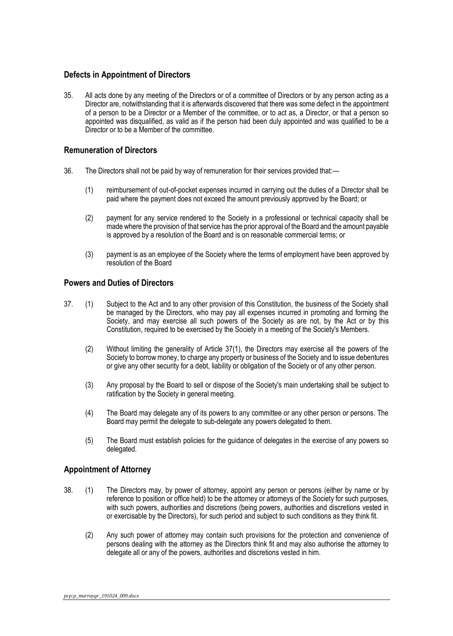### <span id="page-21-0"></span>**Defects in Appointment of Directors**

35. All acts done by any meeting of the Directors or of a committee of Directors or by any person acting as a Director are, notwithstanding that it is afterwards discovered that there was some defect in the appointment of a person to be a Director or a Member of the committee, or to act as, a Director, or that a person so appointed was disqualified, as valid as if the person had been duly appointed and was qualified to be a Director or to be a Member of the committee.

### <span id="page-21-1"></span>**Remuneration of Directors**

- 36. The Directors shall not be paid by way of remuneration for their services provided that:—
	- (1) reimbursement of out-of-pocket expenses incurred in carrying out the duties of a Director shall be paid where the payment does not exceed the amount previously approved by the Board; or
	- (2) payment for any service rendered to the Society in a professional or technical capacity shall be made where the provision of that service has the prior approval of the Board and the amount payable is approved by a resolution of the Board and is on reasonable commercial terms; or
	- (3) payment is as an employee of the Society where the terms of employment have been approved by resolution of the Board

### <span id="page-21-2"></span>**Powers and Duties of Directors**

- 37. (1) Subject to the Act and to any other provision of this Constitution, the business of the Society shall be managed by the Directors, who may pay all expenses incurred in promoting and forming the Society, and may exercise all such powers of the Society as are not, by the Act or by this Constitution, required to be exercised by the Society in a meeting of the Society's Members.
	- (2) Without limiting the generality of Article 37(1), the Directors may exercise all the powers of the Society to borrow money, to charge any property or business of the Society and to issue debentures or give any other security for a debt, liability or obligation of the Society or of any other person.
	- (3) Any proposal by the Board to sell or dispose of the Society's main undertaking shall be subject to ratification by the Society in general meeting.
	- (4) The Board may delegate any of its powers to any committee or any other person or persons. The Board may permit the delegate to sub-delegate any powers delegated to them.
	- (5) The Board must establish policies for the guidance of delegates in the exercise of any powers so delegated.

### <span id="page-21-3"></span>**Appointment of Attorney**

- 38. (1) The Directors may, by power of attorney, appoint any person or persons (either by name or by reference to position or office held) to be the attorney or attorneys of the Society for such purposes, with such powers, authorities and discretions (being powers, authorities and discretions vested in or exercisable by the Directors), for such period and subject to such conditions as they think fit.
	- (2) Any such power of attorney may contain such provisions for the protection and convenience of persons dealing with the attorney as the Directors think fit and may also authorise the attorney to delegate all or any of the powers, authorities and discretions vested in him.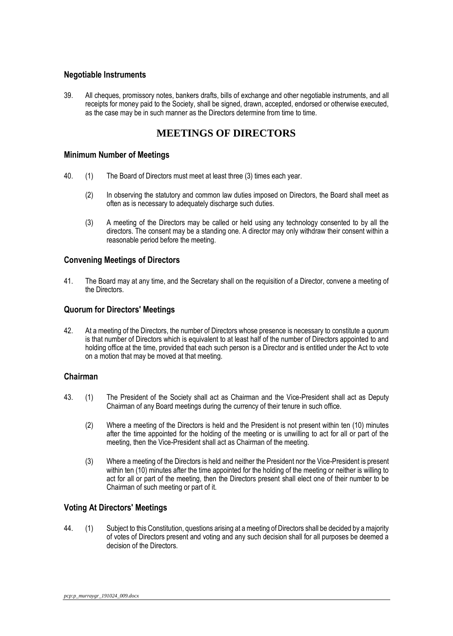### <span id="page-22-0"></span>**Negotiable Instruments**

39. All cheques, promissory notes, bankers drafts, bills of exchange and other negotiable instruments, and all receipts for money paid to the Society, shall be signed, drawn, accepted, endorsed or otherwise executed, as the case may be in such manner as the Directors determine from time to time.

# **MEETINGS OF DIRECTORS**

### <span id="page-22-1"></span>**Minimum Number of Meetings**

- 40. (1) The Board of Directors must meet at least three (3) times each year.
	- (2) In observing the statutory and common law duties imposed on Directors, the Board shall meet as often as is necessary to adequately discharge such duties.
	- (3) A meeting of the Directors may be called or held using any technology consented to by all the directors. The consent may be a standing one. A director may only withdraw their consent within a reasonable period before the meeting.

### <span id="page-22-2"></span>**Convening Meetings of Directors**

41. The Board may at any time, and the Secretary shall on the requisition of a Director, convene a meeting of the Directors.

### <span id="page-22-3"></span>**Quorum for Directors' Meetings**

42. At a meeting of the Directors, the number of Directors whose presence is necessary to constitute a quorum is that number of Directors which is equivalent to at least half of the number of Directors appointed to and holding office at the time, provided that each such person is a Director and is entitled under the Act to vote on a motion that may be moved at that meeting.

### <span id="page-22-4"></span>**Chairman**

- 43. (1) The President of the Society shall act as Chairman and the Vice-President shall act as Deputy Chairman of any Board meetings during the currency of their tenure in such office.
	- (2) Where a meeting of the Directors is held and the President is not present within ten (10) minutes after the time appointed for the holding of the meeting or is unwilling to act for all or part of the meeting, then the Vice-President shall act as Chairman of the meeting.
	- (3) Where a meeting of the Directors is held and neither the President nor the Vice-President is present within ten (10) minutes after the time appointed for the holding of the meeting or neither is willing to act for all or part of the meeting, then the Directors present shall elect one of their number to be Chairman of such meeting or part of it.

### <span id="page-22-5"></span>**Voting At Directors' Meetings**

44. (1) Subject to this Constitution, questions arising at a meeting of Directors shall be decided by a majority of votes of Directors present and voting and any such decision shall for all purposes be deemed a decision of the Directors.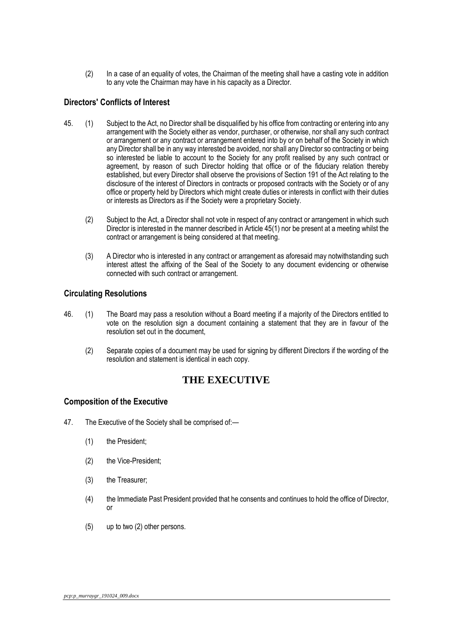(2) In a case of an equality of votes, the Chairman of the meeting shall have a casting vote in addition to any vote the Chairman may have in his capacity as a Director.

### <span id="page-23-0"></span>**Directors' Conflicts of Interest**

- 45. (1) Subject to the Act, no Director shall be disqualified by his office from contracting or entering into any arrangement with the Society either as vendor, purchaser, or otherwise, nor shall any such contract or arrangement or any contract or arrangement entered into by or on behalf of the Society in which any Director shall be in any way interested be avoided, nor shall any Director so contracting or being so interested be liable to account to the Society for any profit realised by any such contract or agreement, by reason of such Director holding that office or of the fiduciary relation thereby established, but every Director shall observe the provisions of Section 191 of the Act relating to the disclosure of the interest of Directors in contracts or proposed contracts with the Society or of any office or property held by Directors which might create duties or interests in conflict with their duties or interests as Directors as if the Society were a proprietary Society.
	- (2) Subject to the Act, a Director shall not vote in respect of any contract or arrangement in which such Director is interested in the manner described in Article 45(1) nor be present at a meeting whilst the contract or arrangement is being considered at that meeting.
	- (3) A Director who is interested in any contract or arrangement as aforesaid may notwithstanding such interest attest the affixing of the Seal of the Society to any document evidencing or otherwise connected with such contract or arrangement.

### <span id="page-23-1"></span>**Circulating Resolutions**

- 46. (1) The Board may pass a resolution without a Board meeting if a majority of the Directors entitled to vote on the resolution sign a document containing a statement that they are in favour of the resolution set out in the document,
	- (2) Separate copies of a document may be used for signing by different Directors if the wording of the resolution and statement is identical in each copy.

# **THE EXECUTIVE**

### <span id="page-23-2"></span>**Composition of the Executive**

- 47. The Executive of the Society shall be comprised of:—
	- (1) the President;
	- (2) the Vice-President;
	- (3) the Treasurer;
	- (4) the Immediate Past President provided that he consents and continues to hold the office of Director, or
	- (5) up to two (2) other persons.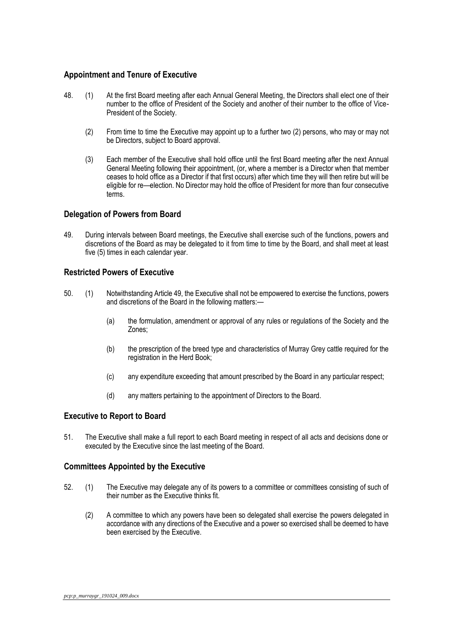### <span id="page-24-0"></span>**Appointment and Tenure of Executive**

- 48. (1) At the first Board meeting after each Annual General Meeting, the Directors shall elect one of their number to the office of President of the Society and another of their number to the office of Vice-President of the Society.
	- (2) From time to time the Executive may appoint up to a further two (2) persons, who may or may not be Directors, subject to Board approval.
	- (3) Each member of the Executive shall hold office until the first Board meeting after the next Annual General Meeting following their appointment, (or, where a member is a Director when that member ceases to hold office as a Director if that first occurs) after which time they will then retire but will be eligible for re—election. No Director may hold the office of President for more than four consecutive terms.

### <span id="page-24-1"></span>**Delegation of Powers from Board**

49. During intervals between Board meetings, the Executive shall exercise such of the functions, powers and discretions of the Board as may be delegated to it from time to time by the Board, and shall meet at least five (5) times in each calendar year.

### <span id="page-24-2"></span>**Restricted Powers of Executive**

- 50. (1) Notwithstanding Article 49, the Executive shall not be empowered to exercise the functions, powers and discretions of the Board in the following matters:—
	- (a) the formulation, amendment or approval of any rules or regulations of the Society and the Zones;
	- (b) the prescription of the breed type and characteristics of Murray Grey cattle required for the registration in the Herd Book;
	- (c) any expenditure exceeding that amount prescribed by the Board in any particular respect;
	- (d) any matters pertaining to the appointment of Directors to the Board.

### <span id="page-24-3"></span>**Executive to Report to Board**

51. The Executive shall make a full report to each Board meeting in respect of all acts and decisions done or executed by the Executive since the last meeting of the Board.

### <span id="page-24-4"></span>**Committees Appointed by the Executive**

- 52. (1) The Executive may delegate any of its powers to a committee or committees consisting of such of their number as the Executive thinks fit.
	- (2) A committee to which any powers have been so delegated shall exercise the powers delegated in accordance with any directions of the Executive and a power so exercised shall be deemed to have been exercised by the Executive.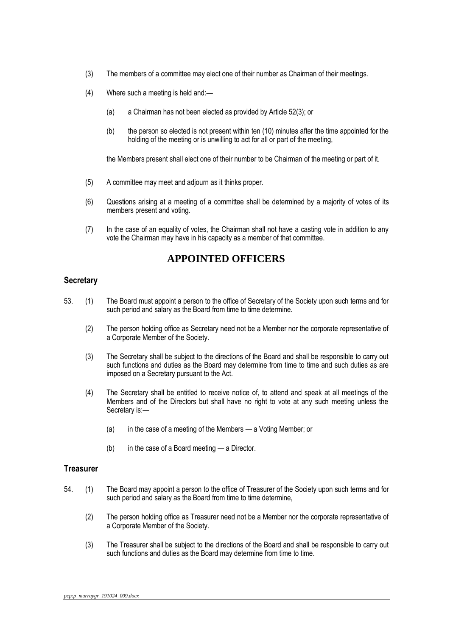- (3) The members of a committee may elect one of their number as Chairman of their meetings.
- (4) Where such a meeting is held and:—
	- (a) a Chairman has not been elected as provided by Article 52(3); or
	- (b) the person so elected is not present within ten (10) minutes after the time appointed for the holding of the meeting or is unwilling to act for all or part of the meeting,

the Members present shall elect one of their number to be Chairman of the meeting or part of it.

- (5) A committee may meet and adjourn as it thinks proper.
- (6) Questions arising at a meeting of a committee shall be determined by a majority of votes of its members present and voting.
- (7) In the case of an equality of votes, the Chairman shall not have a casting vote in addition to any vote the Chairman may have in his capacity as a member of that committee.

# **APPOINTED OFFICERS**

### <span id="page-25-0"></span>**Secretary**

- 53. (1) The Board must appoint a person to the office of Secretary of the Society upon such terms and for such period and salary as the Board from time to time determine.
	- (2) The person holding office as Secretary need not be a Member nor the corporate representative of a Corporate Member of the Society.
	- (3) The Secretary shall be subject to the directions of the Board and shall be responsible to carry out such functions and duties as the Board may determine from time to time and such duties as are imposed on a Secretary pursuant to the Act.
	- (4) The Secretary shall be entitled to receive notice of, to attend and speak at all meetings of the Members and of the Directors but shall have no right to vote at any such meeting unless the Secretary is:—
		- (a) in the case of a meeting of the Members a Voting Member; or
		- (b) in the case of a Board meeting a Director.

#### <span id="page-25-1"></span>**Treasurer**

- 54. (1) The Board may appoint a person to the office of Treasurer of the Society upon such terms and for such period and salary as the Board from time to time determine,
	- (2) The person holding office as Treasurer need not be a Member nor the corporate representative of a Corporate Member of the Society.
	- (3) The Treasurer shall be subject to the directions of the Board and shall be responsible to carry out such functions and duties as the Board may determine from time to time.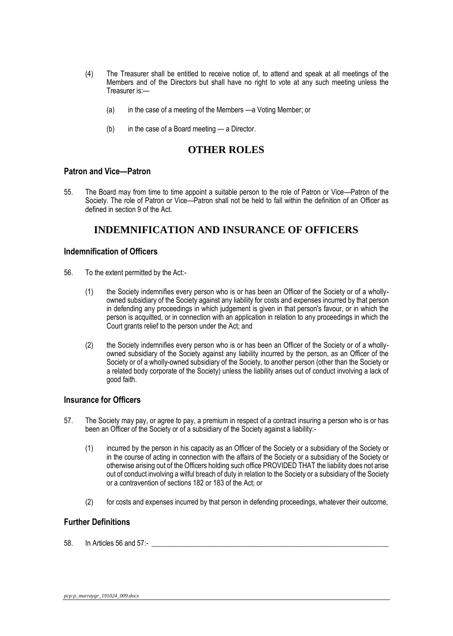- (4) The Treasurer shall be entitled to receive notice of, to attend and speak at all meetings of the Members and of the Directors but shall have no right to vote at any such meeting unless the Treasurer is:—
	- (a) in the case of a meeting of the Members —a Voting Member; or
	- (b) in the case of a Board meeting a Director.

### **OTHER ROLES**

### <span id="page-26-0"></span>**Patron and Vice—Patron**

55. The Board may from time to time appoint a suitable person to the role of Patron or Vice—Patron of the Society. The role of Patron or Vice—Patron shall not be held to fall within the definition of an Officer as defined in section 9 of the Act.

# **INDEMNIFICATION AND INSURANCE OF OFFICERS**

### <span id="page-26-1"></span>**Indemnification of Officers**

- 56. To the extent permitted by the Act:-
	- (1) the Society indemnifies every person who is or has been an Officer of the Society or of a whollyowned subsidiary of the Society against any liability for costs and expenses incurred by that person in defending any proceedings in which judgement is given in that person's favour, or in which the person is acquitted, or in connection with an application in relation to any proceedings in which the Court grants relief to the person under the Act; and
	- (2) the Society indemnifies every person who is or has been an Officer of the Society or of a whollyowned subsidiary of the Society against any liability incurred by the person, as an Officer of the Society or of a wholly-owned subsidiary of the Society, to another person (other than the Society or a related body corporate of the Society) unless the liability arises out of conduct involving a lack of good faith.

### <span id="page-26-2"></span>**Insurance for Officers**

- 57. The Society may pay, or agree to pay, a premium in respect of a contract insuring a person who is or has been an Officer of the Society or of a subsidiary of the Society against a liability:-
	- (1) incurred by the person in his capacity as an Officer of the Society or a subsidiary of the Society or in the course of acting in connection with the affairs of the Society or a subsidiary of the Society or otherwise arising out of the Officers holding such office PROVIDED THAT the liability does not arise out of conduct involving a wilful breach of duty in relation to the Society or a subsidiary of the Society or a contravention of sections 182 or 183 of the Act; or
	- (2) for costs and expenses incurred by that person in defending proceedings, whatever their outcome,

### <span id="page-26-3"></span>**Further Definitions**

58. In Articles 56 and 57:-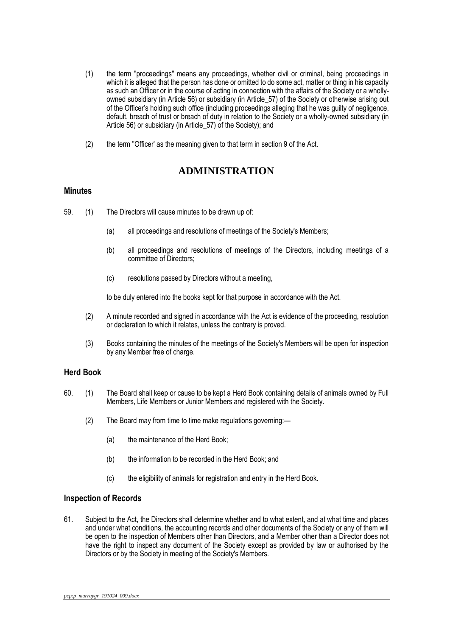- (1) the term "proceedings" means any proceedings, whether civil or criminal, being proceedings in which it is alleged that the person has done or omitted to do some act, matter or thing in his capacity as such an Officer or in the course of acting in connection with the affairs of the Society or a whollyowned subsidiary (in Article 56) or subsidiary (in Article\_57) of the Society or otherwise arising out of the Officer's holding such office (including proceedings alleging that he was guilty of negligence, default, breach of trust or breach of duty in relation to the Society or a wholly-owned subsidiary (in Article 56) or subsidiary (in Article 57) of the Society); and
- (2) the term "Officer' as the meaning given to that term in section 9 of the Act.

# **ADMINISTRATION**

### <span id="page-27-0"></span>**Minutes**

- 59. (1) The Directors will cause minutes to be drawn up of:
	- (a) all proceedings and resolutions of meetings of the Society's Members;
	- (b) all proceedings and resolutions of meetings of the Directors, including meetings of a committee of Directors;
	- (c) resolutions passed by Directors without a meeting,

to be duly entered into the books kept for that purpose in accordance with the Act.

- (2) A minute recorded and signed in accordance with the Act is evidence of the proceeding, resolution or declaration to which it relates, unless the contrary is proved.
- (3) Books containing the minutes of the meetings of the Society's Members will be open for inspection by any Member free of charge.

### <span id="page-27-1"></span>**Herd Book**

- 60. (1) The Board shall keep or cause to be kept a Herd Book containing details of animals owned by Full Members, Life Members or Junior Members and registered with the Society.
	- (2) The Board may from time to time make regulations governing:—
		- (a) the maintenance of the Herd Book;
		- (b) the information to be recorded in the Herd Book; and
		- (c) the eligibility of animals for registration and entry in the Herd Book.

### <span id="page-27-2"></span>**Inspection of Records**

61. Subject to the Act, the Directors shall determine whether and to what extent, and at what time and places and under what conditions, the accounting records and other documents of the Society or any of them will be open to the inspection of Members other than Directors, and a Member other than a Director does not have the right to inspect any document of the Society except as provided by law or authorised by the Directors or by the Society in meeting of the Society's Members.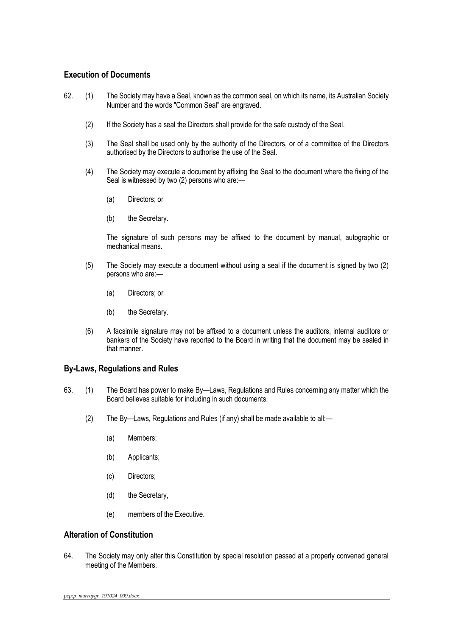### <span id="page-28-0"></span>**Execution of Documents**

- 62. (1) The Society may have a Seal, known as the common seal, on which its name, its Australian Society Number and the words "Common Seal" are engraved.
	- (2) If the Society has a seal the Directors shall provide for the safe custody of the Seal.
	- (3) The Seal shall be used only by the authority of the Directors, or of a committee of the Directors authorised by the Directors to authorise the use of the Seal.
	- (4) The Society may execute a document by affixing the Seal to the document where the fixing of the Seal is witnessed by two (2) persons who are:—
		- (a) Directors; or
		- (b) the Secretary.

The signature of such persons may be affixed to the document by manual, autographic or mechanical means.

- (5) The Society may execute a document without using a seal if the document is signed by two (2) persons who are:—
	- (a) Directors; or
	- (b) the Secretary.
- (6) A facsimile signature may not be affixed to a document unless the auditors, internal auditors or bankers of the Society have reported to the Board in writing that the document may be sealed in that manner.

### <span id="page-28-1"></span>**By-Laws, Regulations and Rules**

- 63. (1) The Board has power to make By—Laws, Regulations and Rules concerning any matter which the Board believes suitable for including in such documents.
	- (2) The By—Laws, Regulations and Rules (if any) shall be made available to all:—
		- (a) Members;
		- (b) Applicants;
		- (c) Directors;
		- (d) the Secretary,
		- (e) members of the Executive.

### <span id="page-28-2"></span>**Alteration of Constitution**

64. The Society may only alter this Constitution by special resolution passed at a properly convened general meeting of the Members.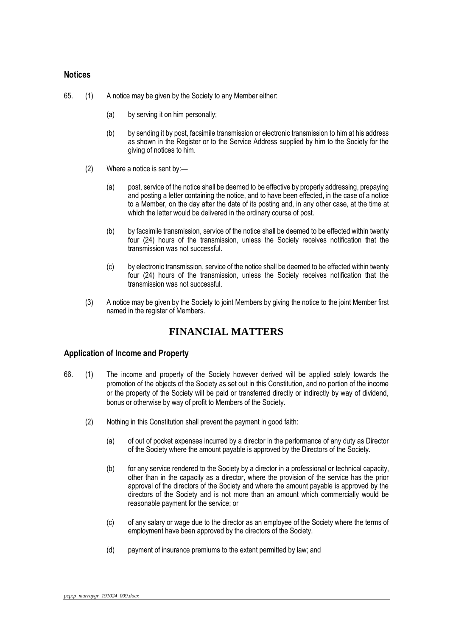### <span id="page-29-0"></span>**Notices**

65. (1) A notice may be given by the Society to any Member either:

- (a) by serving it on him personally;
- (b) by sending it by post, facsimile transmission or electronic transmission to him at his address as shown in the Register or to the Service Address supplied by him to the Society for the giving of notices to him.
- (2) Where a notice is sent by:—
	- (a) post, service of the notice shall be deemed to be effective by properly addressing, prepaying and posting a letter containing the notice, and to have been effected, in the case of a notice to a Member, on the day after the date of its posting and, in any other case, at the time at which the letter would be delivered in the ordinary course of post.
	- (b) by facsimile transmission, service of the notice shall be deemed to be effected within twenty four (24) hours of the transmission, unless the Society receives notification that the transmission was not successful.
	- (c) by electronic transmission, service of the notice shall be deemed to be effected within twenty four (24) hours of the transmission, unless the Society receives notification that the transmission was not successful.
- (3) A notice may be given by the Society to joint Members by giving the notice to the joint Member first named in the register of Members.

# **FINANCIAL MATTERS**

### <span id="page-29-1"></span>**Application of Income and Property**

- 66. (1) The income and property of the Society however derived will be applied solely towards the promotion of the objects of the Society as set out in this Constitution, and no portion of the income or the property of the Society will be paid or transferred directly or indirectly by way of dividend, bonus or otherwise by way of profit to Members of the Society.
	- (2) Nothing in this Constitution shall prevent the payment in good faith:
		- (a) of out of pocket expenses incurred by a director in the performance of any duty as Director of the Society where the amount payable is approved by the Directors of the Society.
		- (b) for any service rendered to the Society by a director in a professional or technical capacity, other than in the capacity as a director, where the provision of the service has the prior approval of the directors of the Society and where the amount payable is approved by the directors of the Society and is not more than an amount which commercially would be reasonable payment for the service; or
		- (c) of any salary or wage due to the director as an employee of the Society where the terms of employment have been approved by the directors of the Society.
		- (d) payment of insurance premiums to the extent permitted by law; and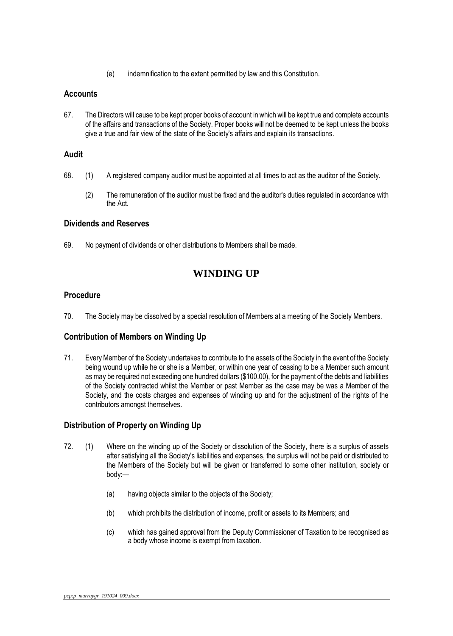(e) indemnification to the extent permitted by law and this Constitution.

### <span id="page-30-0"></span>**Accounts**

67. The Directors will cause to be kept proper books of account in which will be kept true and complete accounts of the affairs and transactions of the Society. Proper books will not be deemed to be kept unless the books give a true and fair view of the state of the Society's affairs and explain its transactions.

### <span id="page-30-1"></span>**Audit**

- 68. (1) A registered company auditor must be appointed at all times to act as the auditor of the Society.
	- (2) The remuneration of the auditor must be fixed and the auditor's duties regulated in accordance with the Act.

### <span id="page-30-2"></span>**Dividends and Reserves**

69. No payment of dividends or other distributions to Members shall be made.

# **WINDING UP**

### <span id="page-30-3"></span>**Procedure**

70. The Society may be dissolved by a special resolution of Members at a meeting of the Society Members.

### <span id="page-30-4"></span>**Contribution of Members on Winding Up**

71. Every Member of the Society undertakes to contribute to the assets of the Society in the event of the Society being wound up while he or she is a Member, or within one year of ceasing to be a Member such amount as may be required not exceeding one hundred dollars (\$100.00), for the payment of the debts and liabilities of the Society contracted whilst the Member or past Member as the case may be was a Member of the Society, and the costs charges and expenses of winding up and for the adjustment of the rights of the contributors amongst themselves.

### <span id="page-30-5"></span>**Distribution of Property on Winding Up**

- 72. (1) Where on the winding up of the Society or dissolution of the Society, there is a surplus of assets after satisfying all the Society's liabilities and expenses, the surplus will not be paid or distributed to the Members of the Society but will be given or transferred to some other institution, society or body:—
	- (a) having objects similar to the objects of the Society;
	- (b) which prohibits the distribution of income, profit or assets to its Members; and
	- (c) which has gained approval from the Deputy Commissioner of Taxation to be recognised as a body whose income is exempt from taxation.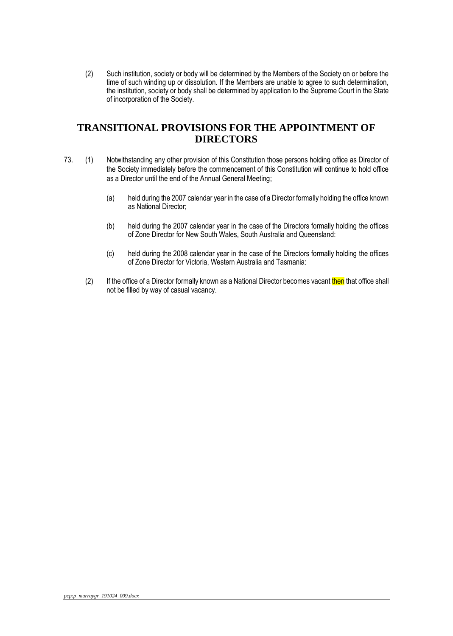(2) Such institution, society or body will be determined by the Members of the Society on or before the time of such winding up or dissolution. If the Members are unable to agree to such determination, the institution, society or body shall be determined by application to the Supreme Court in the State of incorporation of the Society.

# **TRANSITIONAL PROVISIONS FOR THE APPOINTMENT OF DIRECTORS**

- 73. (1) Notwithstanding any other provision of this Constitution those persons holding office as Director of the Society immediately before the commencement of this Constitution will continue to hold office as a Director until the end of the Annual General Meeting;
	- (a) held during the 2007 calendar year in the case of a Director formally holding the office known as National Director;
	- (b) held during the 2007 calendar year in the case of the Directors formally holding the offices of Zone Director for New South Wales, South Australia and Queensland:
	- (c) held during the 2008 calendar year in the case of the Directors formally holding the offices of Zone Director for Victoria, Western Australia and Tasmania:
	- (2) If the office of a Director formally known as a National Director becomes vacant then that office shall not be filled by way of casual vacancy.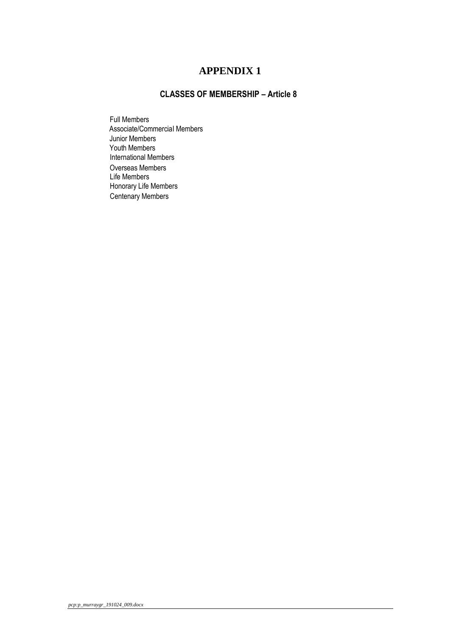# **CLASSES OF MEMBERSHIP – Article 8**

<span id="page-32-0"></span>Full Members Associate/CommerciaI Members Junior Members Youth Members International Members Overseas Members Life Members Honorary Life Members Centenary Members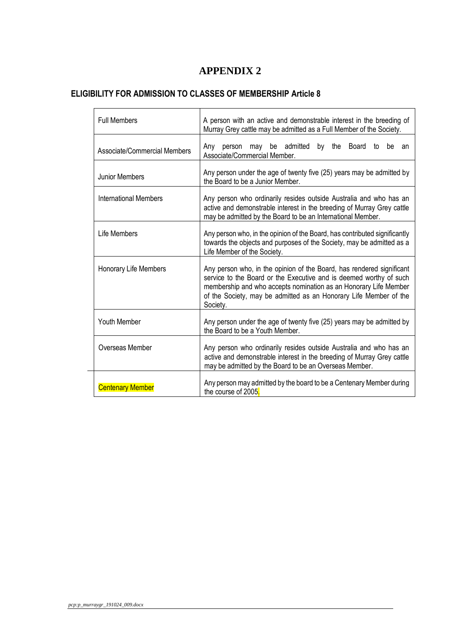# <span id="page-33-0"></span>**ELIGIBILITY FOR ADMISSION TO CLASSES OF MEMBERSHIP Article 8**

| <b>Full Members</b>          | A person with an active and demonstrable interest in the breeding of<br>Murray Grey cattle may be admitted as a Full Member of the Society.                                                                                                                                                      |  |
|------------------------------|--------------------------------------------------------------------------------------------------------------------------------------------------------------------------------------------------------------------------------------------------------------------------------------------------|--|
| Associate/Commercial Members | Any person may be admitted by the Board<br>be an<br>to<br>Associate/Commercial Member.                                                                                                                                                                                                           |  |
| <b>Junior Members</b>        | Any person under the age of twenty five (25) years may be admitted by<br>the Board to be a Junior Member.                                                                                                                                                                                        |  |
| International Members        | Any person who ordinarily resides outside Australia and who has an<br>active and demonstrable interest in the breeding of Murray Grey cattle<br>may be admitted by the Board to be an International Member.                                                                                      |  |
| Life Members                 | Any person who, in the opinion of the Board, has contributed significantly<br>towards the objects and purposes of the Society, may be admitted as a<br>Life Member of the Society.                                                                                                               |  |
| Honorary Life Members        | Any person who, in the opinion of the Board, has rendered significant<br>service to the Board or the Executive and is deemed worthy of such<br>membership and who accepts nomination as an Honorary Life Member<br>of the Society, may be admitted as an Honorary Life Member of the<br>Society. |  |
| <b>Youth Member</b>          | Any person under the age of twenty five (25) years may be admitted by<br>the Board to be a Youth Member.                                                                                                                                                                                         |  |
| Overseas Member              | Any person who ordinarily resides outside Australia and who has an<br>active and demonstrable interest in the breeding of Murray Grey cattle<br>may be admitted by the Board to be an Overseas Member.                                                                                           |  |
| <b>Centenary Member</b>      | Any person may admitted by the board to be a Centenary Member during<br>the course of 2005.                                                                                                                                                                                                      |  |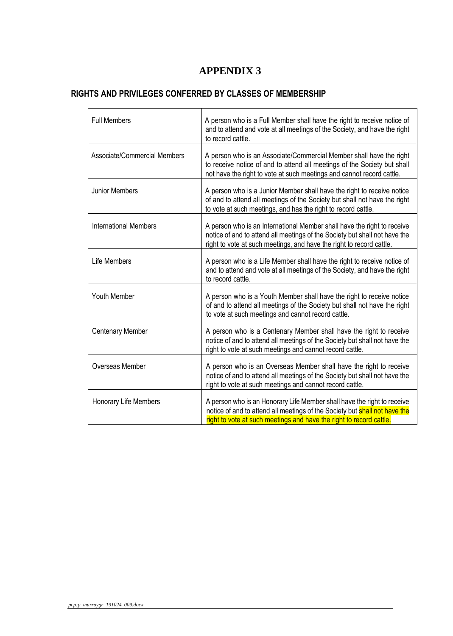# <span id="page-34-0"></span>**RIGHTS AND PRIVILEGES CONFERRED BY CLASSES OF MEMBERSHIP**

| <b>Full Members</b>          | A person who is a Full Member shall have the right to receive notice of<br>and to attend and vote at all meetings of the Society, and have the right<br>to record cattle.                                                     |
|------------------------------|-------------------------------------------------------------------------------------------------------------------------------------------------------------------------------------------------------------------------------|
| Associate/Commercial Members | A person who is an Associate/Commercial Member shall have the right<br>to receive notice of and to attend all meetings of the Society but shall<br>not have the right to vote at such meetings and cannot record cattle.      |
| <b>Junior Members</b>        | A person who is a Junior Member shall have the right to receive notice<br>of and to attend all meetings of the Society but shall not have the right<br>to vote at such meetings, and has the right to record cattle.          |
| <b>International Members</b> | A person who is an International Member shall have the right to receive<br>notice of and to attend all meetings of the Society but shall not have the<br>right to vote at such meetings, and have the right to record cattle. |
| Life Members                 | A person who is a Life Member shall have the right to receive notice of<br>and to attend and vote at all meetings of the Society, and have the right<br>to record cattle.                                                     |
| Youth Member                 | A person who is a Youth Member shall have the right to receive notice<br>of and to attend all meetings of the Society but shall not have the right<br>to vote at such meetings and cannot record cattle.                      |
| <b>Centenary Member</b>      | A person who is a Centenary Member shall have the right to receive<br>notice of and to attend all meetings of the Society but shall not have the<br>right to vote at such meetings and cannot record cattle.                  |
| Overseas Member              | A person who is an Overseas Member shall have the right to receive<br>notice of and to attend all meetings of the Society but shall not have the<br>right to vote at such meetings and cannot record cattle.                  |
| Honorary Life Members        | A person who is an Honorary Life Member shall have the right to receive<br>notice of and to attend all meetings of the Society but shall not have the<br>right to vote at such meetings and have the right to record cattle.  |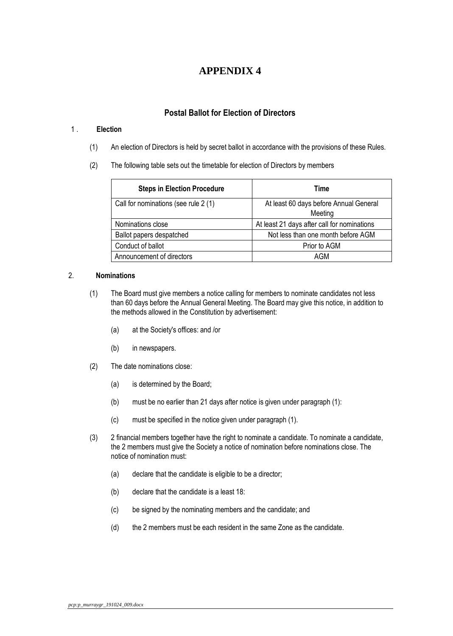### **Postal Ballot for Election of Directors**

### <span id="page-35-0"></span>1 . **Election**

- (1) An election of Directors is held by secret ballot in accordance with the provisions of these Rules.
- (2) The following table sets out the timetable for election of Directors by members

| <b>Steps in Election Procedure</b>   | Time                                              |
|--------------------------------------|---------------------------------------------------|
| Call for nominations (see rule 2 (1) | At least 60 days before Annual General<br>Meeting |
| Nominations close                    | At least 21 days after call for nominations       |
| Ballot papers despatched             | Not less than one month before AGM                |
| Conduct of ballot                    | Prior to AGM                                      |
| Announcement of directors            | AGM                                               |

### 2. **Nominations**

- (1) The Board must give members a notice calling for members to nominate candidates not less than 60 days before the Annual General Meeting. The Board may give this notice, in addition to the methods allowed in the Constitution by advertisement:
	- (a) at the Society's offices: and /or
	- (b) in newspapers.
- (2) The date nominations close:
	- (a) is determined by the Board;
	- (b) must be no earlier than 21 days after notice is given under paragraph (1):
	- (c) must be specified in the notice given under paragraph (1).
- (3) 2 financial members together have the right to nominate a candidate. To nominate a candidate, the 2 members must give the Society a notice of nomination before nominations close. The notice of nomination must:
	- (a) declare that the candidate is eligible to be a director;
	- (b) declare that the candidate is a least 18:
	- (c) be signed by the nominating members and the candidate; and
	- (d) the 2 members must be each resident in the same Zone as the candidate.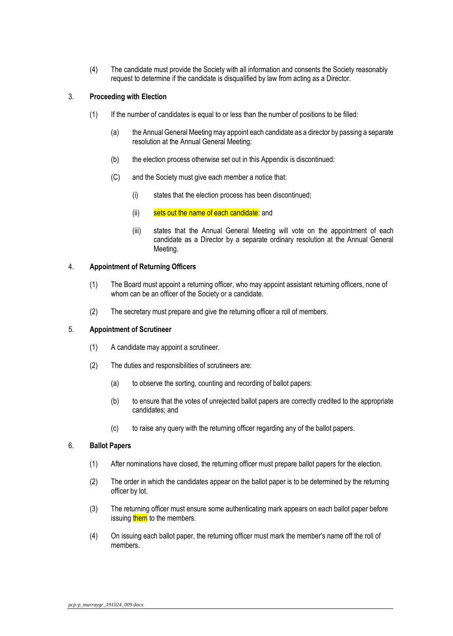(4) The candidate must provide the Society with all information and consents the Society reasonably request to determine if the candidate is disqualified by law from acting as a Director.

#### 3. **Proceeding with Election**

- (1) If the number of candidates is equal to or less than the number of positions to be filled:
	- (a) the Annual General Meeting may appoint each candidate as a director by passing a separate resolution at the Annual General Meeting:
	- (b) the election process otherwise set out in this Appendix is discontinued:
	- (C) and the Society must give each member a notice that:
		- (i) states that the election process has been discontinued;
		- (ii) sets out the name of each candidate: and
		- (iii) states that the Annual General Meeting will vote on the appointment of each candidate as a Director by a separate ordinary resolution at the Annual General Meeting.

#### 4. **Appointment of Returning Officers**

- (1) The Board must appoint a returning officer, who may appoint assistant returning officers, none of whom can be an officer of the Society or a candidate.
- (2) The secretary must prepare and give the returning officer a roll of members.

#### 5. **Appointment of Scrutineer**

- (1) A candidate may appoint a scrutineer.
- (2) The duties and responsibilities of scrutineers are:
	- (a) to observe the sorting, counting and recording of ballot papers:
	- (b) to ensure that the votes of unrejected ballot papers are correctly credited to the appropriate candidates; and
	- (c) to raise any query with the returning officer regarding any of the ballot papers.

### 6. **Ballot Papers**

- (1) After nominations have closed, the returning officer must prepare ballot papers for the election.
- (2) The order in which the candidates appear on the ballot paper is to be determined by the returning officer by lot.
- (3) The returning officer must ensure some authenticating mark appears on each ballot paper before issuing them to the members.
- (4) On issuing each ballot paper, the returning officer must mark the member's name off the roll of members.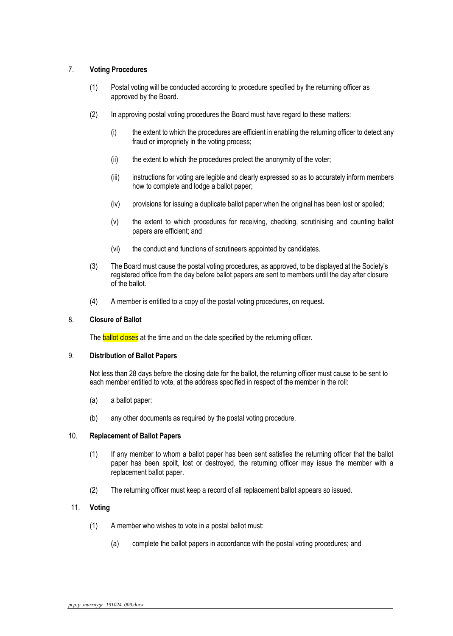### 7. **Voting Procedures**

- (1) Postal voting will be conducted according to procedure specified by the returning officer as approved by the Board.
- (2) In approving postal voting procedures the Board must have regard to these matters:
	- (i) the extent to which the procedures are efficient in enabling the returning officer to detect any fraud or impropriety in the voting process;
	- (ii) the extent to which the procedures protect the anonymity of the voter;
	- (iii) instructions for voting are legible and clearly expressed so as to accurately inform members how to complete and lodge a ballot paper;
	- (iv) provisions for issuing a duplicate ballot paper when the original has been lost or spoiled;
	- (v) the extent to which procedures for receiving, checking, scrutinising and counting ballot papers are efficient; and
	- (vi) the conduct and functions of scrutineers appointed by candidates.
- (3) The Board must cause the postal voting procedures, as approved, to be displayed at the Society's registered office from the day before ballot papers are sent to members until the day after closure of the ballot.
- (4) A member is entitled to a copy of the postal voting procedures, on request.

#### 8. **Closure of Ballot**

The **ballot closes** at the time and on the date specified by the returning officer.

### 9. **Distribution of Ballot Papers**

Not less than 28 days before the closing date for the ballot, the returning officer must cause to be sent to each member entitled to vote, at the address specified in respect of the member in the roll:

- (a) a ballot paper:
- (b) any other documents as required by the postal voting procedure.

### 10. **Replacement of Ballot Papers**

- (1) If any member to whom a ballot paper has been sent satisfies the returning officer that the ballot paper has been spoilt, lost or destroyed, the returning officer may issue the member with a replacement ballot paper.
- (2) The returning officer must keep a record of all replacement ballot appears so issued.

### 11. **Voting**

- (1) A member who wishes to vote in a postal ballot must:
	- (a) complete the ballot papers in accordance with the postal voting procedures; and